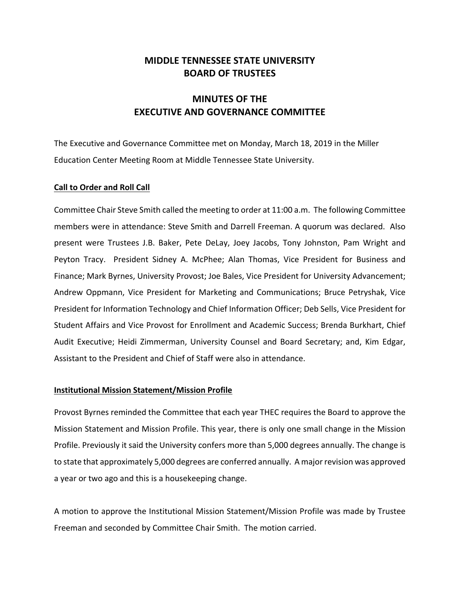## **MIDDLE TENNESSEE STATE UNIVERSITY BOARD OF TRUSTEES**

# **MINUTES OF THE EXECUTIVE AND GOVERNANCE COMMITTEE**

The Executive and Governance Committee met on Monday, March 18, 2019 in the Miller Education Center Meeting Room at Middle Tennessee State University.

## **Call to Order and Roll Call**

Committee Chair Steve Smith called the meeting to order at 11:00 a.m. The following Committee members were in attendance: Steve Smith and Darrell Freeman. A quorum was declared. Also present were Trustees J.B. Baker, Pete DeLay, Joey Jacobs, Tony Johnston, Pam Wright and Peyton Tracy. President Sidney A. McPhee; Alan Thomas, Vice President for Business and Finance; Mark Byrnes, University Provost; Joe Bales, Vice President for University Advancement; Andrew Oppmann, Vice President for Marketing and Communications; Bruce Petryshak, Vice President for Information Technology and Chief Information Officer; Deb Sells, Vice President for Student Affairs and Vice Provost for Enrollment and Academic Success; Brenda Burkhart, Chief Audit Executive; Heidi Zimmerman, University Counsel and Board Secretary; and, Kim Edgar, Assistant to the President and Chief of Staff were also in attendance.

#### **Institutional Mission Statement/Mission Profile**

Provost Byrnes reminded the Committee that each year THEC requires the Board to approve the Mission Statement and Mission Profile. This year, there is only one small change in the Mission Profile. Previously it said the University confers more than 5,000 degrees annually. The change is to state that approximately 5,000 degrees are conferred annually. A major revision was approved a year or two ago and this is a housekeeping change.

A motion to approve the Institutional Mission Statement/Mission Profile was made by Trustee Freeman and seconded by Committee Chair Smith. The motion carried.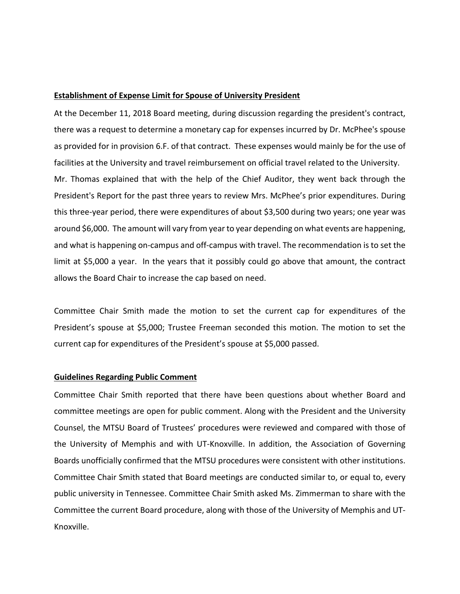## **Establishment of Expense Limit for Spouse of University President**

At the December 11, 2018 Board meeting, during discussion regarding the president's contract, there was a request to determine a monetary cap for expenses incurred by Dr. McPhee's spouse as provided for in provision 6.F. of that contract. These expenses would mainly be for the use of facilities at the University and travel reimbursement on official travel related to the University.

Mr. Thomas explained that with the help of the Chief Auditor, they went back through the President's Report for the past three years to review Mrs. McPhee's prior expenditures. During this three‐year period, there were expenditures of about \$3,500 during two years; one year was around \$6,000. The amount will vary from year to year depending on what events are happening, and what is happening on‐campus and off‐campus with travel. The recommendation is to set the limit at \$5,000 a year. In the years that it possibly could go above that amount, the contract allows the Board Chair to increase the cap based on need.

Committee Chair Smith made the motion to set the current cap for expenditures of the President's spouse at \$5,000; Trustee Freeman seconded this motion. The motion to set the current cap for expenditures of the President's spouse at \$5,000 passed.

## **Guidelines Regarding Public Comment**

Committee Chair Smith reported that there have been questions about whether Board and committee meetings are open for public comment. Along with the President and the University Counsel, the MTSU Board of Trustees' procedures were reviewed and compared with those of the University of Memphis and with UT‐Knoxville. In addition, the Association of Governing Boards unofficially confirmed that the MTSU procedures were consistent with other institutions. Committee Chair Smith stated that Board meetings are conducted similar to, or equal to, every public university in Tennessee. Committee Chair Smith asked Ms. Zimmerman to share with the Committee the current Board procedure, along with those of the University of Memphis and UT‐ Knoxville.